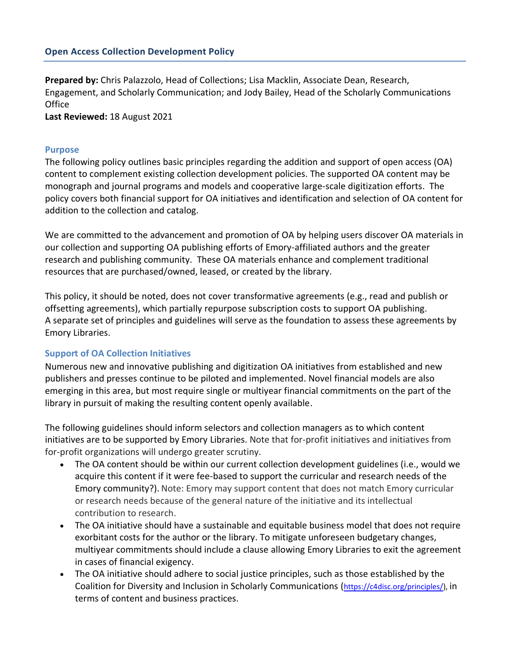**Prepared by:** Chris Palazzolo, Head of Collections; Lisa Macklin, Associate Dean, Research, Engagement, and Scholarly Communication; and Jody Bailey, Head of the Scholarly Communications **Office** 

**Last Reviewed:** 18 August 2021

### **Purpose**

The following policy outlines basic principles regarding the addition and support of open access (OA) content to complement existing collection development policies. The supported OA content may be monograph and journal programs and models and cooperative large-scale digitization efforts. The policy covers both financial support for OA initiatives and identification and selection of OA content for addition to the collection and catalog.

We are committed to the advancement and promotion of OA by helping users discover OA materials in our collection and supporting OA publishing efforts of Emory-affiliated authors and the greater research and publishing community. These OA materials enhance and complement traditional resources that are purchased/owned, leased, or created by the library.

This policy, it should be noted, does not cover transformative agreements (e.g., read and publish or offsetting agreements), which partially repurpose subscription costs to support OA publishing. A separate set of principles and guidelines will serve as the foundation to assess these agreements by Emory Libraries.

### **Support of OA Collection Initiatives**

Numerous new and innovative publishing and digitization OA initiatives from established and new publishers and presses continue to be piloted and implemented. Novel financial models are also emerging in this area, but most require single or multiyear financial commitments on the part of the library in pursuit of making the resulting content openly available.

The following guidelines should inform selectors and collection managers as to which content initiatives are to be supported by Emory Libraries. Note that for-profit initiatives and initiatives from for-profit organizations will undergo greater scrutiny.

- The OA content should be within our current collection development guidelines (i.e., would we acquire this content if it were fee-based to support the curricular and research needs of the Emory community?). Note: Emory may support content that does not match Emory curricular or research needs because of the general nature of the initiative and its intellectual contribution to research.
- The OA initiative should have a sustainable and equitable business model that does not require exorbitant costs for the author or the library. To mitigate unforeseen budgetary changes, multiyear commitments should include a clause allowing Emory Libraries to exit the agreement in cases of financial exigency.
- The OA initiative should adhere to social justice principles, such as those established by the Coalition for Diversity and Inclusion in Scholarly Communications ([https://c4disc.org/principles/\)](https://c4disc.org/principles/), in terms of content and business practices.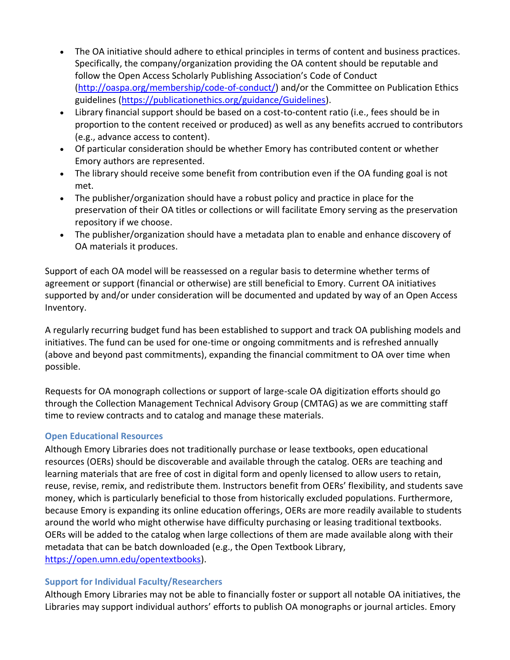- The OA initiative should adhere to ethical principles in terms of content and business practices. Specifically, the company/organization providing the OA content should be reputable and follow the Open Access Scholarly Publishing Association's Code of Conduct [\(http://oaspa.org/membership/code-of-conduct/\)](http://oaspa.org/membership/code-of-conduct/) and/or the Committee on Publication Ethics guidelines [\(https://publicationethics.org/guidance/Guidelines\)](https://publicationethics.org/guidance/Guidelines).
- Library financial support should be based on a cost-to-content ratio (i.e., fees should be in proportion to the content received or produced) as well as any benefits accrued to contributors (e.g., advance access to content).
- Of particular consideration should be whether Emory has contributed content or whether Emory authors are represented.
- The library should receive some benefit from contribution even if the OA funding goal is not met.
- The publisher/organization should have a robust policy and practice in place for the preservation of their OA titles or collections or will facilitate Emory serving as the preservation repository if we choose.
- The publisher/organization should have a metadata plan to enable and enhance discovery of OA materials it produces.

Support of each OA model will be reassessed on a regular basis to determine whether terms of agreement or support (financial or otherwise) are still beneficial to Emory. Current OA initiatives supported by and/or under consideration will be documented and updated by way of an Open Access Inventory.

A regularly recurring budget fund has been established to support and track OA publishing models and initiatives. The fund can be used for one-time or ongoing commitments and is refreshed annually (above and beyond past commitments), expanding the financial commitment to OA over time when possible.

Requests for OA monograph collections or support of large-scale OA digitization efforts should go through the Collection Management Technical Advisory Group (CMTAG) as we are committing staff time to review contracts and to catalog and manage these materials.

# **Open Educational Resources**

Although Emory Libraries does not traditionally purchase or lease textbooks, open educational resources (OERs) should be discoverable and available through the catalog. OERs are teaching and learning materials that are free of cost in digital form and openly licensed to allow users to retain, reuse, revise, remix, and redistribute them. Instructors benefit from OERs' flexibility, and students save money, which is particularly beneficial to those from historically excluded populations. Furthermore, because Emory is expanding its online education offerings, OERs are more readily available to students around the world who might otherwise have difficulty purchasing or leasing traditional textbooks. OERs will be added to the catalog when large collections of them are made available along with their metadata that can be batch downloaded (e.g., the Open Textbook Library, [https://open.umn.edu/opentextbooks\)](https://open.umn.edu/opentextbooks).

### **Support for Individual Faculty/Researchers**

Although Emory Libraries may not be able to financially foster or support all notable OA initiatives, the Libraries may support individual authors' efforts to publish OA monographs or journal articles. Emory